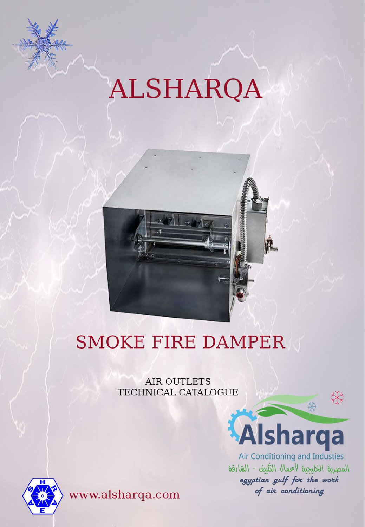## ALSHARQA



## **SMOKE FIRE DAMPER**

**AIR OUTLETS** TECHNICAL CATALOGUE



Air Conditioning and Industies المصرية الخليجية لأعمال التكييف - الشارقة egyptian gulf for the work of air conditioning

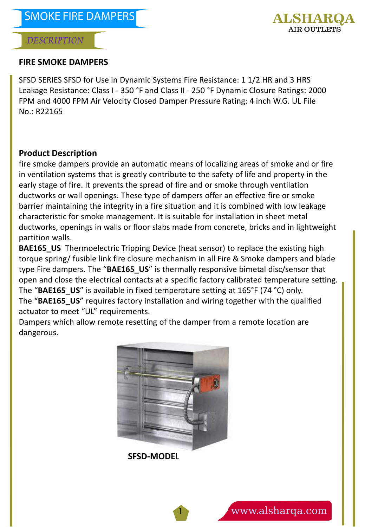

#### **FIRE SMOKE DAMPERS**

SFSD SERIES SFSD for Use in Dynamic Systems Fire Resistance: 1 1/2 HR and 3 HRS Leakage Resistance: Class I - 350 °F and Class II - 250 °F Dynamic Closure Ratings: 2000 FPM and 4000 FPM Air Velocity Closed Damper Pressure Rating: 4 inch W.G. UL File No.: R22165

#### **Product Description**

fire smoke dampers provide an automatic means of localizing areas of smoke and or fire in ventilation systems that is greatly contribute to the safety of life and property in the early stage of fire. It prevents the spread of fire and or smoke through ventilation ductworks or wall openings. These type of dampers offer an effective fire or smoke barrier maintaining the integrity in a fire situation and it is combined with low leakage characteristic for smoke management. It is suitable for installation in sheet metal ductworks, openings in walls or floor slabs made from concrete, bricks and in lightweight partition walls.

**BAE165 US** Thermoelectric Tripping Device (heat sensor) to replace the existing high torque spring/ fusible link fire closure mechanism in all Fire & Smoke dampers and blade type Fire dampers. The "**BAE165\_US**" is thermally responsive bimetal disc/sensor that open and close the electrical contacts at a specific factory calibrated temperature setting. The "BAE165 US" is available in fixed temperature setting at 165°F (74 °C) only. The "BAE165 US" requires factory installation and wiring together with the qualified actuator to meet "UL" requirements.

Dampers which allow remote resetting of the damper from a remote location are dangerous.



1

**SFSD-MODE**L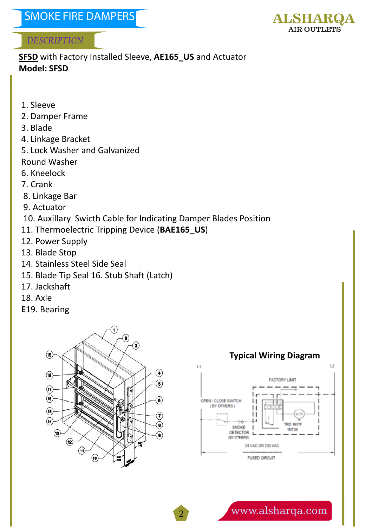

**SFSD** with Factory Installed Sleeve, **AE165\_US** and Actuator **Model: SFSD**

- 1. Sleeve
- 2. Damper Frame
- 3. Blade
- 4. Linkage Bracket
- 5. Lock Washer and Galvanized
- Round Washer
- 6. Kneelock
- 7. Crank
- 8. Linkage Bar
- 9. Actuator
- 10. Auxillary Swicth Cable for Indicating Damper Blades Position

2

- 11. Thermoelectric Tripping Device (**BAE165\_US**)
- 12. Power Supply
- 13. Blade Stop
- 14. Stainless Steel Side Seal
- 15. Blade Tip Seal 16. Stub Shaft (Latch)
- 17. Jackshaft
- 18. Axle
- **E**19. Bearing



#### **Typical Wiring Diagram**

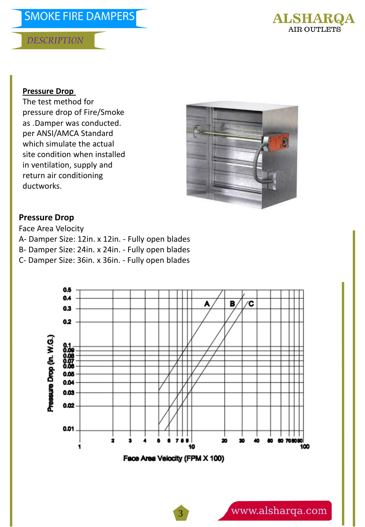### **SMOKE FIRE DAMPERS**

#### **DESCRIPTION**



#### **Pressure Drop**

The test method for pressure drop of Fire/Smoke as .Damper was conducted. per ANSI/AMCA Standard which simulate the actual site condition when installed in ventilation, supply and return air conditioning ductworks.



#### **Pressure Drop**

Face Area Velocity A- Damper Size: 12in. x 12in. - Fully open blades B- Damper Size: 24in. x 24in. - Fully open blades C- Damper Size: 36in. x 36in. - Fully open blades

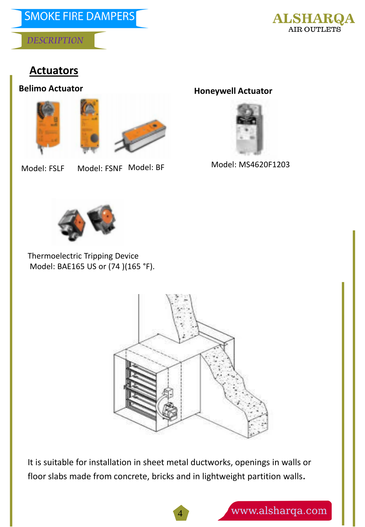

#### **Actuators**

**Belimo Actuator** 





Model: FSLF Model: BF Model: FSNF

**Honeywell Actuator** 



Model: MS4620F1203



Thermoelectric Tripping Device Model: BAE165 US or (74 )(165 °F).



It is suitable for installation in sheet metal ductworks, openings in walls or floor slabs made from concrete, bricks and in lightweight partition walls.

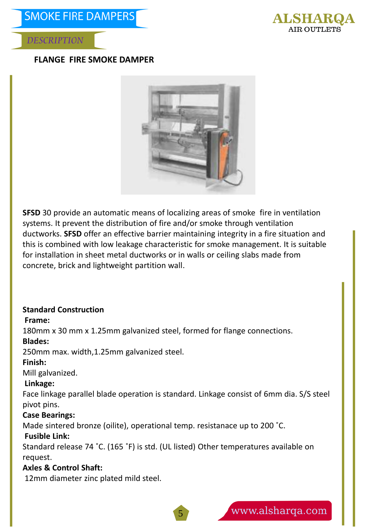

#### **FLANGE FIRE SMOKE DAMPER**



**SFSD** 30 provide an automatic means of localizing areas of smoke fire in ventilation systems. It prevent the distribution of fire and/or smoke through ventilation ductworks. **SFSD** offer an effective barrier maintaining integrity in a fire situation and this is combined with low leakage characteristic for smoke management. It is suitable for installation in sheet metal ductworks or in walls or ceiling slabs made from concrete, brick and lightweight partition wall.

#### **Standard Construction**

#### **Frame:**

180mm x 30 mm x 1.25mm galvanized steel, formed for flange connections.

#### **Blades:**

250mm max. width,1.25mm galvanized steel.

#### **Finish:**

Mill galvanized.

#### **Linkage:**

Face linkage parallel blade operation is standard. Linkage consist of 6mm dia. S/S steel pivot pins.

#### **Case Bearings:**

Made sintered bronze (oilite), operational temp. resistanace up to 200 ˚C.

#### **Fusible Link:**

Standard release 74 ˚C. (165 ˚F) is std. (UL listed) Other temperatures available on request.

5

#### **Axles & Control Shaft:**

12mm diameter zinc plated mild steel.

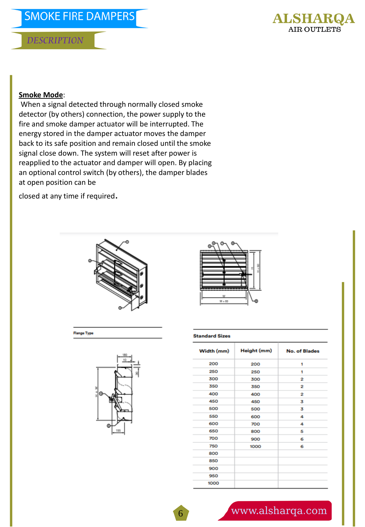

#### **Smoke Mode**:

When a signal detected through normally closed smoke detector (by others) connection, the power supply to the fire and smoke damper actuator will be interrupted. The energy stored in the damper actuator moves the damper back to its safe position and remain closed until the smoke signal close down. The system will reset after power is reapplied to the actuator and damper will open. By placing an optional control switch (by others), the damper blades at open position can be

closed at any time if required.



**Flange Type** 





#### **Standard Sizes**

| Width (mm) | Height (mm) | <b>No. of Blades</b> |
|------------|-------------|----------------------|
| 200        | 200         | 1                    |
| 250        | 250         | 1                    |
| 300        | 300         | 2                    |
| 350        | 350         | 2                    |
| 400        | 400         | 2                    |
| 450        | 450         | 3                    |
| 500        | 500         | 3                    |
| 550        | 600         | 4                    |
| 600        | 700         | 4                    |
| 650        | 800         | 5                    |
| 700        | 900         | 6                    |
| 750        | 1000        | 6                    |
| 800        |             |                      |
| 850        |             |                      |
| 900        |             |                      |
| 950        |             |                      |
| 1000       |             |                      |

#### www.alsharqa.com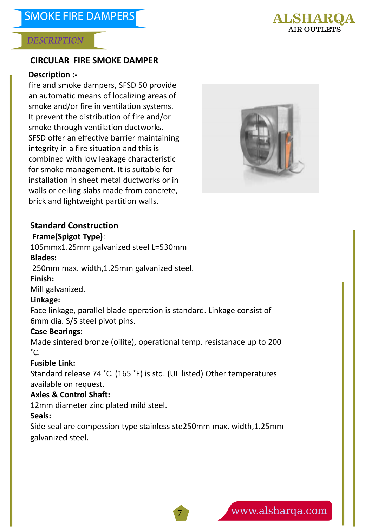

#### **CIRCULAR FIRE SMOKE DAMPER**

#### **Description :-**

fire and smoke dampers, SFSD 50 provide an automatic means of localizing areas of smoke and/or fire in ventilation systems. It prevent the distribution of fire and/or smoke through ventilation ductworks. SFSD offer an effective barrier maintaining integrity in a fire situation and this is combined with low leakage characteristic for smoke management. It is suitable for installation in sheet metal ductworks or in walls or ceiling slabs made from concrete, brick and lightweight partition walls.



#### **Standard Construction**

#### **Frame(Spigot Type)**:

105mmx1.25mm galvanized steel L=530mm **Blades:**

250mm max. width,1.25mm galvanized steel.

#### **Finish:**

Mill galvanized.

#### **Linkage:**

Face linkage, parallel blade operation is standard. Linkage consist of 6mm dia. S/S steel pivot pins.

#### **Case Bearings:**

Made sintered bronze (oilite), operational temp. resistanace up to 200  $^{\circ}$ C.

#### **Fusible Link:**

Standard release 74 ˚C. (165 ˚F) is std. (UL listed) Other temperatures available on request.

#### **Axles & Control Shaft:**

12mm diameter zinc plated mild steel.

#### **Seals:**

Side seal are compession type stainless ste250mm max. width,1.25mm galvanized steel.

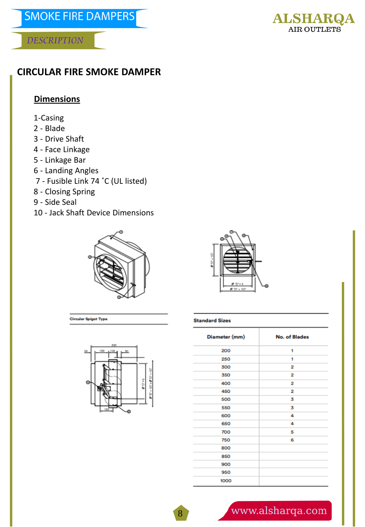#### **CIRCULAR FIRE SMOKE DAMPER**

#### **Dimensions**

- 1-Casing
- 2 Blade
- 3 Drive Shaft
- 4 Face Linkage
- 5 Linkage Bar
- 6 Landing Angles
- 7 Fusible Link 74 ˚C (UL listed)
- 8 Closing Spring
- 9 Side Seal
- 10 Jack Shaft Device Dimensions

**Circular Spigot Type** 





#### **Standard Sizes**

| 530<br>50 |  |
|-----------|--|
| Θ         |  |

| Diameter (mm) | <b>No. of Blades</b> |
|---------------|----------------------|
| 200           | 1                    |
| 250           | 1                    |
| 300           | 2                    |
| 350           | 2                    |
| 400           | 2                    |
| 450           | 2                    |
| 500           | 3                    |
| 550           | 3                    |
| 600           | 4                    |
| 650           | 4                    |
| 700           | 5                    |
| 750           | 6                    |
| 800           |                      |
| 850           |                      |
| 900           |                      |
| 950           |                      |
| 1000          |                      |

## www.alsharqa.com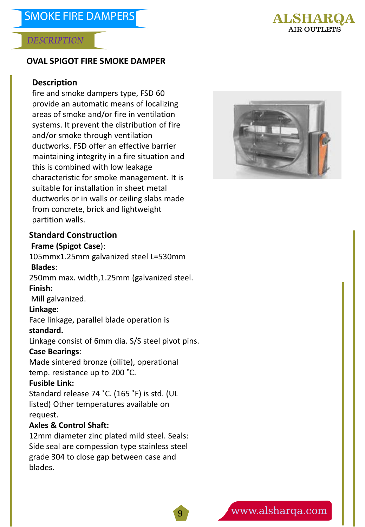

#### **OVAL SPIGOT FIRE SMOKE DAMPER**

#### **Description**

fire and smoke dampers type, FSD 60 provide an automatic means of localizing areas of smoke and/or fire in ventilation systems. It prevent the distribution of fire and/or smoke through ventilation ductworks. FSD offer an effective barrier maintaining integrity in a fire situation and this is combined with low leakage characteristic for smoke management. It is suitable for installation in sheet metal ductworks or in walls or ceiling slabs made from concrete, brick and lightweight partition walls.



#### **Standard Construction**

#### **Frame (Spigot Case**):

105mmx1.25mm galvanized steel L=530mm **Blades**: 250mm max. width,1.25mm (galvanized steel. **Finish:** Mill galvanized. **Linkage**: Face linkage, parallel blade operation is **standard.**  Linkage consist of 6mm dia. S/S steel pivot pins. **Case Bearings**: Made sintered bronze (oilite), operational temp. resistance up to 200 ˚C. **Fusible Link:**  Standard release 74 ˚C. (165 ˚F) is std. (UL

listed) Other temperatures available on request.

#### **Axles & Control Shaft:**

12mm diameter zinc plated mild steel. Seals: Side seal are compession type stainless steel grade 304 to close gap between case and blades.

9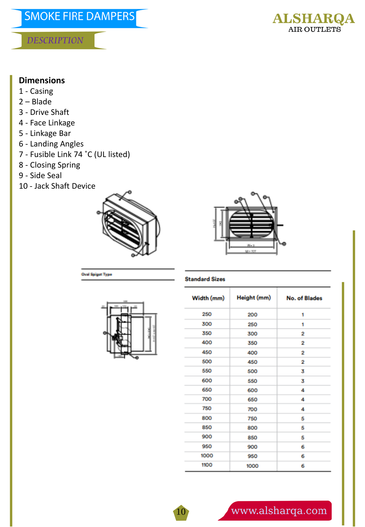## **SMOKE FIRE DAMPERS**

#### **DESCRIPTION**



#### **Dimensions**

- 1 Casing
- 2 Blade
- 3 Drive Shaft
- 4 Face Linkage
- 5 Linkage Bar
- 6 Landing Angles
- 7 Fusible Link 74 ˚C (UL listed)
- 8 Closing Spring
- 9 Side Seal
- 10 Jack Shaft Device





#### **Standard Sizes**

10



**Seal Spigot Type** 

| Width (mm) | Height (mm) | <b>No. of Blades</b> |  |
|------------|-------------|----------------------|--|
| 250        | 200         | 1                    |  |
| 300        | 250         | 1                    |  |
| 350        | 300         | 2                    |  |
| 400        | 350         | 2                    |  |
| 450        | 400         | 2                    |  |
| 500        | 450         | 2                    |  |
| 550        | 500         | 3                    |  |
| 600        | 550         | 3                    |  |
| 650        | 600         | 4                    |  |
| 700        | 650         | 4                    |  |
| 750        | 700         | 4                    |  |
| 800        | 750         | 5                    |  |
| 850        | 800         | 5                    |  |
| 900        | 850         | 5                    |  |
| 950        | 900         | 6                    |  |
| 1000       | 950         | 6                    |  |
| 1100       | 1000        | 6                    |  |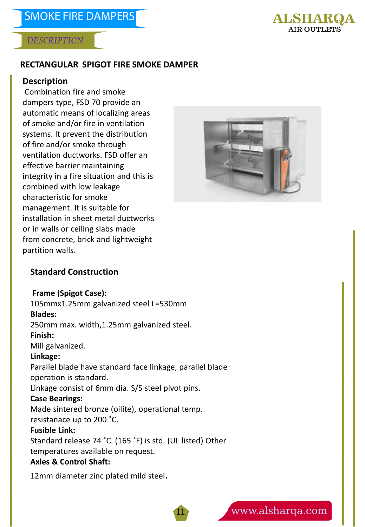

#### **RECTANGULAR SPIGOT FIRE SMOKE DAMPER**

#### **Description**

Combination fire and smoke dampers type, FSD 70 provide an automatic means of localizing areas of smoke and/or fire in ventilation systems. It prevent the distribution of fire and/or smoke through ventilation ductworks. FSD offer an effective barrier maintaining integrity in a fire situation and this is combined with low leakage characteristic for smoke management. It is suitable for installation in sheet metal ductworks or in walls or ceiling slabs made from concrete, brick and lightweight partition walls.



#### **Standard Construction**

**Frame (Spigot Case):**  105mmx1.25mm galvanized steel L=530mm **Blades:** 250mm max. width,1.25mm galvanized steel. **Finish:**  Mill galvanized. **Linkage:** Parallel blade have standard face linkage, parallel blade operation is standard. Linkage consist of 6mm dia. S/S steel pivot pins. **Case Bearings:**  Made sintered bronze (oilite), operational temp. resistanace up to 200 ˚C. **Fusible Link:**  Standard release 74 ˚C. (165 ˚F) is std. (UL listed) Other temperatures available on request. **Axles & Control Shaft:** 

11

12mm diameter zinc plated mild steel.

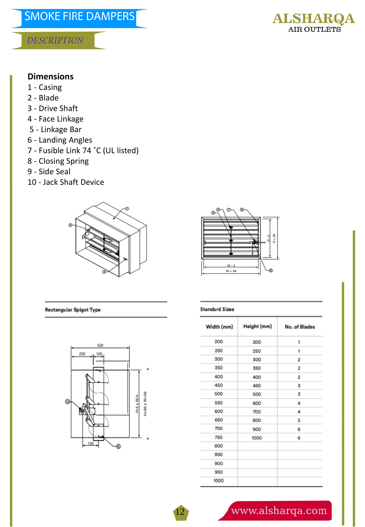

#### **Dimensions**

- 1 Casing
- 2 Blade
- 3 Drive Shaft
- 4 Face Linkage
- 5 Linkage Bar
- 6 Landing Angles
- 7 Fusible Link 74 ˚C (UL listed)
- 8 Closing Spring
- 9 Side Seal
- 10 Jack Shaft Device





#### **Rectangular Spigot Type**



#### **Standard Sizes**

12

| Width (mm) | Height (mm) | No. of Blades  |
|------------|-------------|----------------|
| 200        | 200         | 1              |
| 250        | 250         | 1              |
| 300        | 300         | 2              |
| 350        | 350         | 2              |
| 400        | 400         | $\overline{2}$ |
| 450        | 450         | 3              |
| 500        | 500         | 3              |
| 550        | 600         | 4              |
| 600        | 700         | 4              |
| 650        | 800         | 5              |
| 700        | 900         | 6              |
| 750        | 1000        | 6              |
| 800        |             |                |
| 850        |             |                |
| 900        |             |                |
| 950        |             |                |
| 1000       |             |                |